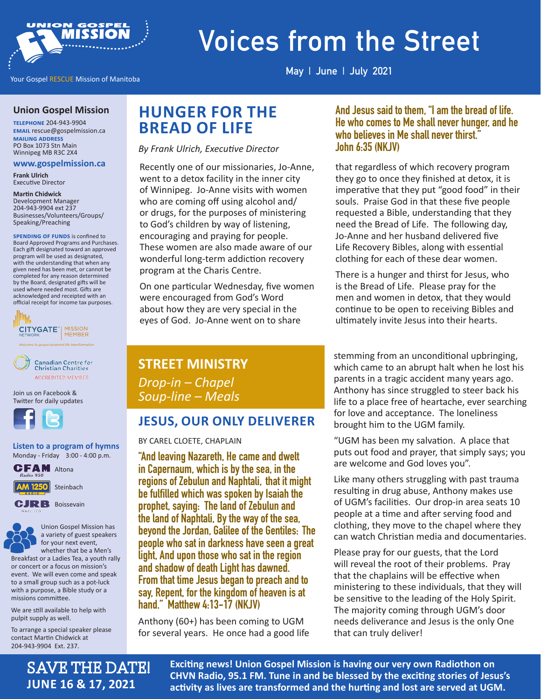

# **Voices from the Street**

Your Gospel RESCUE Mission of Manitoba

**May | June | July 2021**

#### **Union Gospel Mission**

**telephone** 204-943-9904 **email** rescue@gospelmission.ca **mailing address** PO Box 1073 Stn Main Winnipeg MB R3C 2X4

#### **www.gospelmission.ca**

**Frank Ulrich**  Executive Director

#### **Martin Chidwick**

Development Manager 204-943-9904 ext 237 Businesses/Volunteers/Groups/ Speaking/Preaching

**SPENDING OF FUNDS** is confined to Board Approved Programs and Purchases. Each gift designated toward an approved program will be used as designated, with the understanding that when any given need has been met, or cannot be completed for any reason determined by the Board, designated gifts will be used where needed most. Gifts are acknowledged and receipted with an official receipt for income tax purposes.





Join us on Facebook & Twitter for daily updates



**Listen to a program of hymns**  Monday - Friday 3:00 - 4:00 p.m.





Union Gospel Mission has a variety of guest speakers for your next event, whether that be a Men's

SAVE THE DATE!

**JUNE 16 & 17, 2021**

Breakfast or a Ladies Tea, a youth rally or concert or a focus on mission's event. We will even come and speak to a small group such as a pot-luck with a purpose, a Bible study or a missions committee.

We are still available to help with pulpit supply as well.

To arrange a special speaker please contact Martin Chidwick at 204-943-9904 Ext. 237.

# **HUNGER FOR THE BREAD OF LIFE**

*By Frank Ulrich, Executive Director*

Recently one of our missionaries, Jo-Anne, went to a detox facility in the inner city of Winnipeg. Jo-Anne visits with women who are coming off using alcohol and/ or drugs, for the purposes of ministering to God's children by way of listening, encouraging and praying for people. These women are also made aware of our wonderful long-term addiction recovery program at the Charis Centre.

On one particular Wednesday, five women were encouraged from God's Word about how they are very special in the eyes of God. Jo-Anne went on to share

#### **And Jesus said to them, "I am the bread of life. He who comes to Me shall never hunger, and he who believes in Me shall never thirst." John 6:35 (NKJV)**

that regardless of which recovery program they go to once they finished at detox, it is imperative that they put "good food" in their souls. Praise God in that these five people requested a Bible, understanding that they need the Bread of Life. The following day, Jo-Anne and her husband delivered five Life Recovery Bibles, along with essential clothing for each of these dear women.

There is a hunger and thirst for Jesus, who is the Bread of Life. Please pray for the men and women in detox, that they would continue to be open to receiving Bibles and ultimately invite Jesus into their hearts.

#### **STREET MINISTRY**

*Drop-in – Chapel Soup-line – Meals*

#### **JESUS, OUR ONLY DELIVERER**

BY CAREL CLOETE, CHAPLAIN

**"And leaving Nazareth, He came and dwelt in Capernaum, which is by the sea, in the regions of Zebulun and Naphtali, that it might be fulfilled which was spoken by Isaiah the prophet, saying: The land of Zebulun and the land of Naphtali, By the way of the sea, beyond the Jordan, Galilee of the Gentiles: The people who sat in darkness have seen a great light, And upon those who sat in the region and shadow of death Light has dawned. From that time Jesus began to preach and to say, Repent, for the kingdom of heavenis at hand." Matthew 4:13-17 (NKJV)**

Anthony (60+) has been coming to UGM for several years. He once had a good life stemming from an unconditional upbringing, which came to an abrupt halt when he lost his parents in a tragic accident many years ago. Anthony has since struggled to steer back his life to a place free of heartache, ever searching for love and acceptance. The loneliness brought him to the UGM family.

"UGM has been my salvation. A place that puts out food and prayer, that simply says; you are welcome and God loves you".

Like many others struggling with past trauma resulting in drug abuse, Anthony makes use of UGM's facilities. Our drop-in area seats 10 people at a time and after serving food and clothing, they move to the chapel where they can watch Christian media and documentaries.

Please pray for our guests, that the Lord will reveal the root of their problems. Pray that the chaplains will be effective when ministering to these individuals, that they will be sensitive to the leading of the Holy Spirit. The majority coming through UGM's door needs deliverance and Jesus is the only One that can truly deliver!

**Exciting news! Union Gospel Mission is having our very own Radiothon on CHVN Radio, 95.1 FM. Tune in and be blessed by the exciting stories of Jesus's activity as lives are transformed and the hurting and lost are served at UGM.**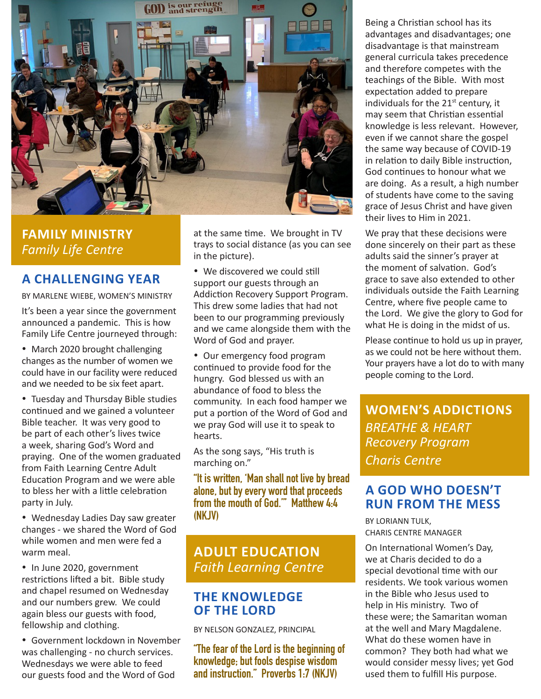

## **FAMILY MINISTRY** *Family Life Centre*

#### **A CHALLENGING YEAR**

BY MARLENE WIEBE, WOMEN'S MINISTRY

It's been a year since the government announced a pandemic. This is how Family Life Centre journeyed through:

• March 2020 brought challenging changes as the number of women we could have in our facility were reduced and we needed to be six feet apart.

• Tuesday and Thursday Bible studies continued and we gained a volunteer Bible teacher. It was very good to be part of each other's lives twice a week, sharing God's Word and praying. One of the women graduated from Faith Learning Centre Adult Education Program and we were able to bless her with a little celebration party in July.

• Wednesday Ladies Day saw greater changes - we shared the Word of God while women and men were fed a warm meal.

• In June 2020, government restrictions lifted a bit. Bible study and chapel resumed on Wednesday and our numbers grew. We could again bless our guests with food, fellowship and clothing.

• Government lockdown in November was challenging - no church services. Wednesdays we were able to feed our guests food and the Word of God

at the same time. We brought in TV trays to social distance (as you can see in the picture).

• We discovered we could still support our guests through an Addiction Recovery Support Program. This drew some ladies that had not been to our programming previously and we came alongside them with the Word of God and prayer.

• Our emergency food program continued to provide food for the hungry. God blessed us with an abundance of food to bless the community. In each food hamper we put a portion of the Word of God and we pray God will use it to speak to hearts.

As the song says, "His truth is marching on."

**"It is written, 'Man shall not live by bread alone, but by every word that proceeds from the mouth of God.'" Matthew 4:4 (NKJV)**

# **ADULT EDUCATION** *Faith Learning Centre*

#### **THE KNOWLEDGE OF THE LORD**

BY NELSON GONZALEZ, PRINCIPAL

**"The fear of the Lord is the beginning of knowledge; but fools despise wisdom and instruction." Proverbs 1:7 (NKJV)** 

Being a Christian school has its advantages and disadvantages; one disadvantage is that mainstream general curricula takes precedence and therefore competes with the teachings of the Bible. With most expectation added to prepare individuals for the  $21<sup>st</sup>$  century, it may seem that Christian essential knowledge is less relevant. However, even if we cannot share the gospel the same way because of COVID-19 in relation to daily Bible instruction, God continues to honour what we are doing. As a result, a high number of students have come to the saving grace of Jesus Christ and have given their lives to Him in 2021.

We pray that these decisions were done sincerely on their part as these adults said the sinner's prayer at the moment of salvation. God's grace to save also extended to other individuals outside the Faith Learning Centre, where five people came to the Lord. We give the glory to God for what He is doing in the midst of us.

Please continue to hold us up in prayer, as we could not be here without them. Your prayers have a lot do to with many people coming to the Lord.

**WOMEN'S ADDICTIONS** *BREATHE & HEART Recovery Program Charis Centre*

#### **A GOD WHO DOESN'T RUN FROM THE MESS**

BY LORIANN TULK, CHARIS CENTRE MANAGER

On International Women's Day, we at Charis decided to do a special devotional time with our residents. We took various women in the Bible who Jesus used to help in His ministry. Two of these were; the Samaritan woman at the well and Mary Magdalene. What do these women have in common? They both had what we would consider messy lives; yet God used them to fulfill His purpose.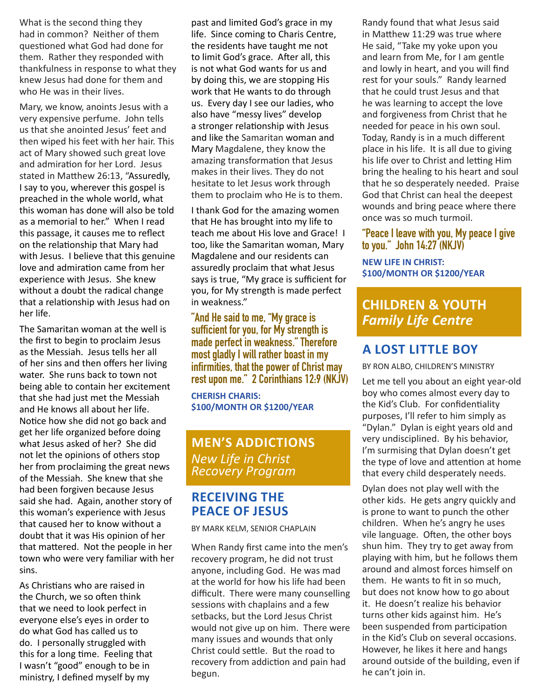What is the second thing they had in common? Neither of them questioned what God had done for them. Rather they responded with thankfulness in response to what they knew Jesus had done for them and who He was in their lives.

Mary, we know, anoints Jesus with a very expensive perfume. John tells us that she anointed Jesus' feet and then wiped his feet with her hair. This act of Mary showed such great love and admiration for her Lord. Jesus stated in Matthew 26:13, "Assuredly, I say to you, wherever this gospel is preached in the whole world, what this woman has done will also be told as a memorial to her." When I read this passage, it causes me to reflect on the relationship that Mary had with Jesus. I believe that this genuine love and admiration came from her experience with Jesus. She knew without a doubt the radical change that a relationship with Jesus had on her life.

The Samaritan woman at the well is the first to begin to proclaim Jesus as the Messiah. Jesus tells her all of her sins and then offers her living water. She runs back to town not being able to contain her excitement that she had just met the Messiah and He knows all about her life. Notice how she did not go back and get her life organized before doing what Jesus asked of her? She did not let the opinions of others stop her from proclaiming the great news of the Messiah. She knew that she had been forgiven because Jesus said she had. Again, another story of this woman's experience with Jesus that caused her to know without a doubt that it was His opinion of her that mattered. Not the people in her town who were very familiar with her sins.

As Christians who are raised in the Church, we so often think that we need to look perfect in everyone else's eyes in order to do what God has called us to do. I personally struggled with this for a long time. Feeling that I wasn't "good" enough to be in ministry, I defined myself by my

past and limited God's grace in my life. Since coming to Charis Centre, the residents have taught me not to limit God's grace. After all, this is not what God wants for us and by doing this, we are stopping His work that He wants to do through us. Every day I see our ladies, who also have "messy lives" develop a stronger relationship with Jesus and like the Samaritan woman and Mary Magdalene, they know the amazing transformation that Jesus makes in their lives. They do not hesitate to let Jesus work through them to proclaim who He is to them.

I thank God for the amazing women that He has brought into my life to teach me about His love and Grace! I too, like the Samaritan woman, Mary Magdalene and our residents can assuredly proclaim that what Jesus says is true, "My grace is sufficient for you, for My strength is made perfect in weakness."

#### **"And He said to me, "My grace is sufficient for you, for My strength is made perfect in weakness." Therefore most gladly I will rather boast in my infirmities, that the power of Christ may rest upon me." 2 Corinthians 12:9 (NKJV)**

**CHERISH CHARIS: \$100/MONTH OR \$1200/YEAR**

#### **MEN'S ADDICTIONS** *New Life in Christ Recovery Program*

### **RECEIVING THE PEACE OF JESUS**

BY MARK KELM, SENIOR CHAPLAIN

When Randy first came into the men's recovery program, he did not trust anyone, including God. He was mad at the world for how his life had been difficult. There were many counselling sessions with chaplains and a few setbacks, but the Lord Jesus Christ would not give up on him. There were many issues and wounds that only Christ could settle. But the road to recovery from addiction and pain had begun.

Randy found that what Jesus said in Matthew 11:29 was true where He said, "Take my yoke upon you and learn from Me, for I am gentle and lowly in heart, and you will find rest for your souls." Randy learned that he could trust Jesus and that he was learning to accept the love and forgiveness from Christ that he needed for peace in his own soul. Today, Randy is in a much different place in his life. It is all due to giving his life over to Christ and letting Him bring the healing to his heart and soul that he so desperately needed. Praise God that Christ can heal the deepest wounds and bring peace where there once was so much turmoil.

#### **"Peace I leave with you, My peace I give to you." John 14:27 (NKJV)**

**NEW LIFE IN CHRIST: \$100/MONTH OR \$1200/YEAR**

# **CHILDREN & YOUTH** *Family Life Centre*

## **A LOST LITTLE BOY**

BY RON ALBO, CHILDREN'S MINISTRY

Let me tell you about an eight year-old boy who comes almost every day to the Kid's Club. For confidentiality purposes, I'll refer to him simply as "Dylan." Dylan is eight years old and very undisciplined. By his behavior, I'm surmising that Dylan doesn't get the type of love and attention at home that every child desperately needs.

Dylan does not play well with the other kids. He gets angry quickly and is prone to want to punch the other children. When he's angry he uses vile language. Often, the other boys shun him. They try to get away from playing with him, but he follows them around and almost forces himself on them. He wants to fit in so much, but does not know how to go about it. He doesn't realize his behavior turns other kids against him. He's been suspended from participation in the Kid's Club on several occasions. However, he likes it here and hangs around outside of the building, even if he can't join in.